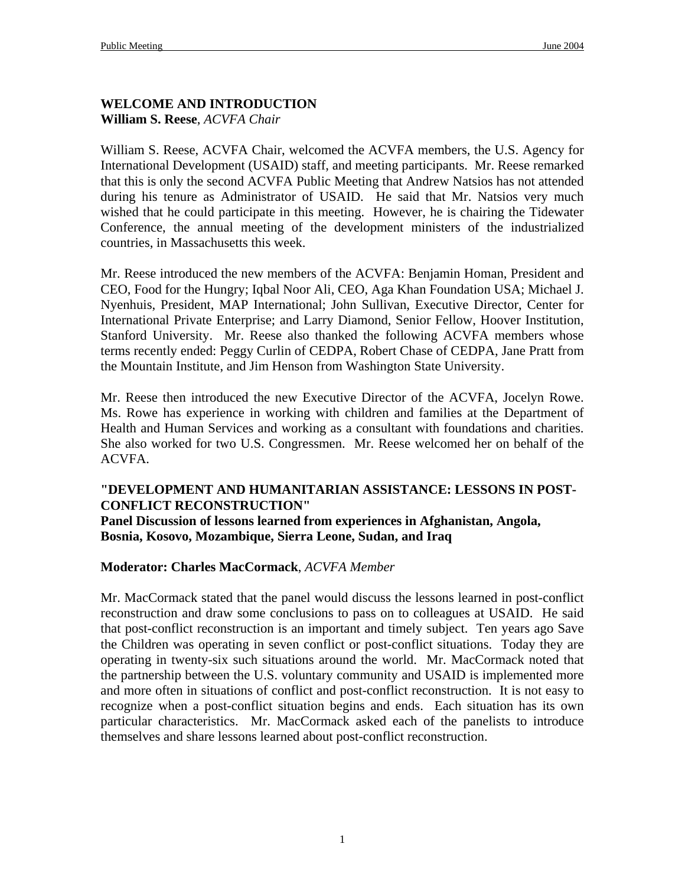#### **WELCOME AND INTRODUCTION William S. Reese**, *ACVFA Chair*

William S. Reese, ACVFA Chair, welcomed the ACVFA members, the U.S. Agency for International Development (USAID) staff, and meeting participants. Mr. Reese remarked that this is only the second ACVFA Public Meeting that Andrew Natsios has not attended during his tenure as Administrator of USAID. He said that Mr. Natsios very much wished that he could participate in this meeting. However, he is chairing the Tidewater Conference, the annual meeting of the development ministers of the industrialized countries, in Massachusetts this week.

Mr. Reese introduced the new members of the ACVFA: Benjamin Homan, President and CEO, Food for the Hungry; Iqbal Noor Ali, CEO, Aga Khan Foundation USA; Michael J. Nyenhuis, President, MAP International; John Sullivan, Executive Director, Center for International Private Enterprise; and Larry Diamond, Senior Fellow, Hoover Institution, Stanford University. Mr. Reese also thanked the following ACVFA members whose terms recently ended: Peggy Curlin of CEDPA, Robert Chase of CEDPA, Jane Pratt from the Mountain Institute, and Jim Henson from Washington State University.

Mr. Reese then introduced the new Executive Director of the ACVFA, Jocelyn Rowe. Ms. Rowe has experience in working with children and families at the Department of Health and Human Services and working as a consultant with foundations and charities. She also worked for two U.S. Congressmen. Mr. Reese welcomed her on behalf of the ACVFA.

#### **"DEVELOPMENT AND HUMANITARIAN ASSISTANCE: LESSONS IN POST-CONFLICT RECONSTRUCTION"**

**Panel Discussion of lessons learned from experiences in Afghanistan, Angola, Bosnia, Kosovo, Mozambique, Sierra Leone, Sudan, and Iraq** 

#### **Moderator: Charles MacCormack**, *ACVFA Member*

Mr. MacCormack stated that the panel would discuss the lessons learned in post-conflict reconstruction and draw some conclusions to pass on to colleagues at USAID. He said that post-conflict reconstruction is an important and timely subject. Ten years ago Save the Children was operating in seven conflict or post-conflict situations. Today they are operating in twenty-six such situations around the world. Mr. MacCormack noted that the partnership between the U.S. voluntary community and USAID is implemented more and more often in situations of conflict and post-conflict reconstruction. It is not easy to recognize when a post-conflict situation begins and ends. Each situation has its own particular characteristics. Mr. MacCormack asked each of the panelists to introduce themselves and share lessons learned about post-conflict reconstruction.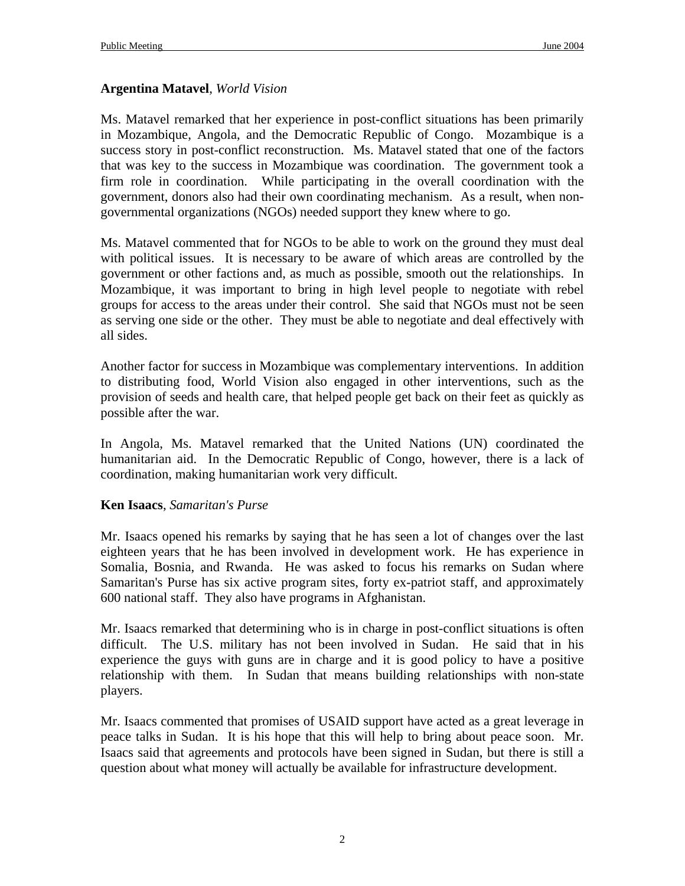#### **Argentina Matavel**, *World Vision*

Ms. Matavel remarked that her experience in post-conflict situations has been primarily in Mozambique, Angola, and the Democratic Republic of Congo. Mozambique is a success story in post-conflict reconstruction. Ms. Matavel stated that one of the factors that was key to the success in Mozambique was coordination. The government took a firm role in coordination. While participating in the overall coordination with the government, donors also had their own coordinating mechanism. As a result, when nongovernmental organizations (NGOs) needed support they knew where to go.

Ms. Matavel commented that for NGOs to be able to work on the ground they must deal with political issues. It is necessary to be aware of which areas are controlled by the government or other factions and, as much as possible, smooth out the relationships. In Mozambique, it was important to bring in high level people to negotiate with rebel groups for access to the areas under their control. She said that NGOs must not be seen as serving one side or the other. They must be able to negotiate and deal effectively with all sides.

Another factor for success in Mozambique was complementary interventions. In addition to distributing food, World Vision also engaged in other interventions, such as the provision of seeds and health care, that helped people get back on their feet as quickly as possible after the war.

In Angola, Ms. Matavel remarked that the United Nations (UN) coordinated the humanitarian aid. In the Democratic Republic of Congo, however, there is a lack of coordination, making humanitarian work very difficult.

#### **Ken Isaacs**, *Samaritan's Purse*

Mr. Isaacs opened his remarks by saying that he has seen a lot of changes over the last eighteen years that he has been involved in development work. He has experience in Somalia, Bosnia, and Rwanda. He was asked to focus his remarks on Sudan where Samaritan's Purse has six active program sites, forty ex-patriot staff, and approximately 600 national staff. They also have programs in Afghanistan.

Mr. Isaacs remarked that determining who is in charge in post-conflict situations is often difficult. The U.S. military has not been involved in Sudan. He said that in his experience the guys with guns are in charge and it is good policy to have a positive relationship with them. In Sudan that means building relationships with non-state players.

Mr. Isaacs commented that promises of USAID support have acted as a great leverage in peace talks in Sudan. It is his hope that this will help to bring about peace soon. Mr. Isaacs said that agreements and protocols have been signed in Sudan, but there is still a question about what money will actually be available for infrastructure development.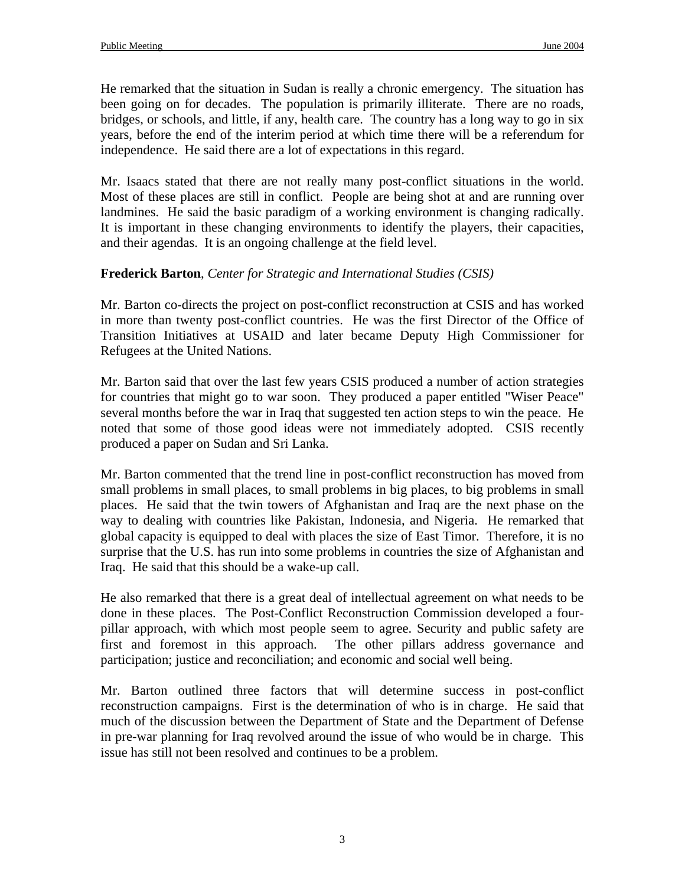He remarked that the situation in Sudan is really a chronic emergency. The situation has been going on for decades. The population is primarily illiterate. There are no roads, bridges, or schools, and little, if any, health care. The country has a long way to go in six years, before the end of the interim period at which time there will be a referendum for independence. He said there are a lot of expectations in this regard.

Mr. Isaacs stated that there are not really many post-conflict situations in the world. Most of these places are still in conflict. People are being shot at and are running over landmines. He said the basic paradigm of a working environment is changing radically. It is important in these changing environments to identify the players, their capacities, and their agendas. It is an ongoing challenge at the field level.

## **Frederick Barton**, *Center for Strategic and International Studies (CSIS)*

Mr. Barton co-directs the project on post-conflict reconstruction at CSIS and has worked in more than twenty post-conflict countries. He was the first Director of the Office of Transition Initiatives at USAID and later became Deputy High Commissioner for Refugees at the United Nations.

Mr. Barton said that over the last few years CSIS produced a number of action strategies for countries that might go to war soon. They produced a paper entitled "Wiser Peace" several months before the war in Iraq that suggested ten action steps to win the peace. He noted that some of those good ideas were not immediately adopted. CSIS recently produced a paper on Sudan and Sri Lanka.

Mr. Barton commented that the trend line in post-conflict reconstruction has moved from small problems in small places, to small problems in big places, to big problems in small places. He said that the twin towers of Afghanistan and Iraq are the next phase on the way to dealing with countries like Pakistan, Indonesia, and Nigeria. He remarked that global capacity is equipped to deal with places the size of East Timor. Therefore, it is no surprise that the U.S. has run into some problems in countries the size of Afghanistan and Iraq. He said that this should be a wake-up call.

He also remarked that there is a great deal of intellectual agreement on what needs to be done in these places. The Post-Conflict Reconstruction Commission developed a fourpillar approach, with which most people seem to agree. Security and public safety are first and foremost in this approach. The other pillars address governance and participation; justice and reconciliation; and economic and social well being.

Mr. Barton outlined three factors that will determine success in post-conflict reconstruction campaigns. First is the determination of who is in charge. He said that much of the discussion between the Department of State and the Department of Defense in pre-war planning for Iraq revolved around the issue of who would be in charge. This issue has still not been resolved and continues to be a problem.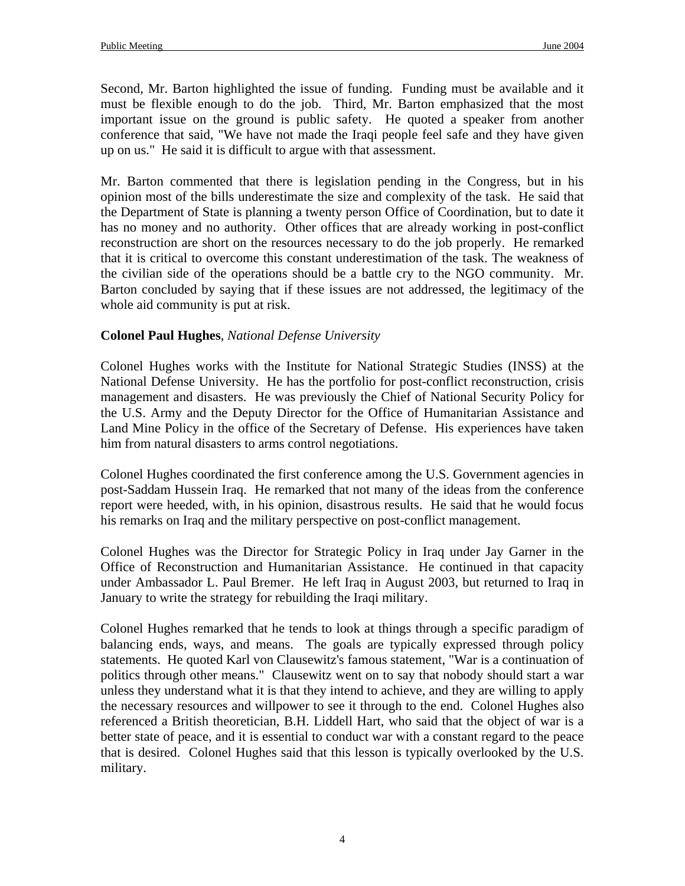Second, Mr. Barton highlighted the issue of funding. Funding must be available and it must be flexible enough to do the job. Third, Mr. Barton emphasized that the most important issue on the ground is public safety. He quoted a speaker from another conference that said, "We have not made the Iraqi people feel safe and they have given up on us." He said it is difficult to argue with that assessment.

Mr. Barton commented that there is legislation pending in the Congress, but in his opinion most of the bills underestimate the size and complexity of the task. He said that the Department of State is planning a twenty person Office of Coordination, but to date it has no money and no authority. Other offices that are already working in post-conflict reconstruction are short on the resources necessary to do the job properly. He remarked that it is critical to overcome this constant underestimation of the task. The weakness of the civilian side of the operations should be a battle cry to the NGO community. Mr. Barton concluded by saying that if these issues are not addressed, the legitimacy of the whole aid community is put at risk.

# **Colonel Paul Hughes**, *National Defense University*

Colonel Hughes works with the Institute for National Strategic Studies (INSS) at the National Defense University. He has the portfolio for post-conflict reconstruction, crisis management and disasters. He was previously the Chief of National Security Policy for the U.S. Army and the Deputy Director for the Office of Humanitarian Assistance and Land Mine Policy in the office of the Secretary of Defense. His experiences have taken him from natural disasters to arms control negotiations.

Colonel Hughes coordinated the first conference among the U.S. Government agencies in post-Saddam Hussein Iraq. He remarked that not many of the ideas from the conference report were heeded, with, in his opinion, disastrous results. He said that he would focus his remarks on Iraq and the military perspective on post-conflict management.

Colonel Hughes was the Director for Strategic Policy in Iraq under Jay Garner in the Office of Reconstruction and Humanitarian Assistance. He continued in that capacity under Ambassador L. Paul Bremer. He left Iraq in August 2003, but returned to Iraq in January to write the strategy for rebuilding the Iraqi military.

Colonel Hughes remarked that he tends to look at things through a specific paradigm of balancing ends, ways, and means. The goals are typically expressed through policy statements. He quoted Karl von Clausewitz's famous statement, "War is a continuation of politics through other means." Clausewitz went on to say that nobody should start a war unless they understand what it is that they intend to achieve, and they are willing to apply the necessary resources and willpower to see it through to the end. Colonel Hughes also referenced a British theoretician, B.H. Liddell Hart, who said that the object of war is a better state of peace, and it is essential to conduct war with a constant regard to the peace that is desired. Colonel Hughes said that this lesson is typically overlooked by the U.S. military.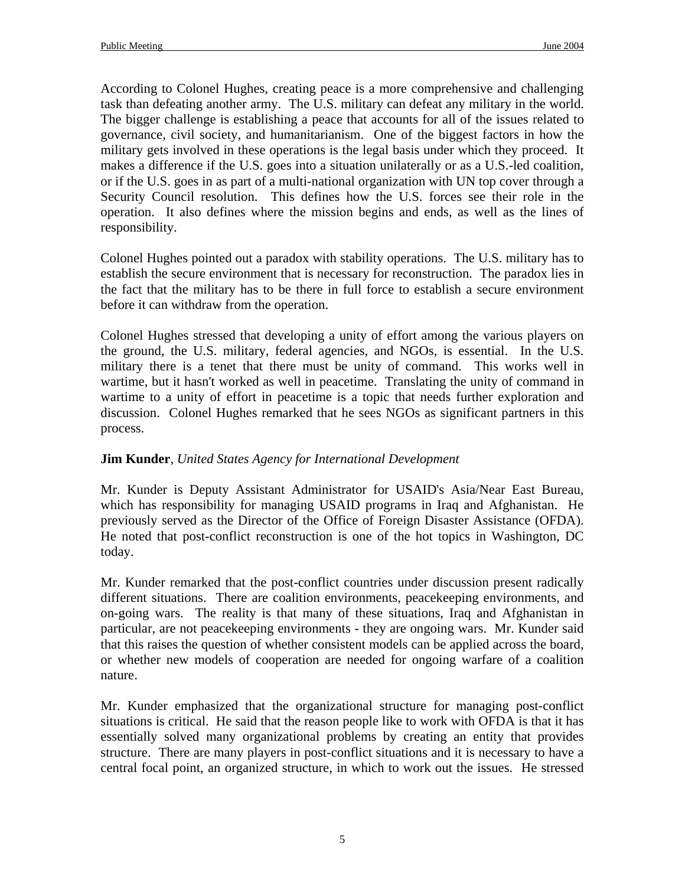According to Colonel Hughes, creating peace is a more comprehensive and challenging task than defeating another army. The U.S. military can defeat any military in the world. The bigger challenge is establishing a peace that accounts for all of the issues related to governance, civil society, and humanitarianism. One of the biggest factors in how the military gets involved in these operations is the legal basis under which they proceed. It makes a difference if the U.S. goes into a situation unilaterally or as a U.S.-led coalition, or if the U.S. goes in as part of a multi-national organization with UN top cover through a Security Council resolution. This defines how the U.S. forces see their role in the operation. It also defines where the mission begins and ends, as well as the lines of responsibility.

Colonel Hughes pointed out a paradox with stability operations. The U.S. military has to establish the secure environment that is necessary for reconstruction. The paradox lies in the fact that the military has to be there in full force to establish a secure environment before it can withdraw from the operation.

Colonel Hughes stressed that developing a unity of effort among the various players on the ground, the U.S. military, federal agencies, and NGOs, is essential. In the U.S. military there is a tenet that there must be unity of command. This works well in wartime, but it hasn't worked as well in peacetime. Translating the unity of command in wartime to a unity of effort in peacetime is a topic that needs further exploration and discussion. Colonel Hughes remarked that he sees NGOs as significant partners in this process.

## **Jim Kunder**, *United States Agency for International Development*

Mr. Kunder is Deputy Assistant Administrator for USAID's Asia/Near East Bureau, which has responsibility for managing USAID programs in Iraq and Afghanistan. He previously served as the Director of the Office of Foreign Disaster Assistance (OFDA). He noted that post-conflict reconstruction is one of the hot topics in Washington, DC today.

Mr. Kunder remarked that the post-conflict countries under discussion present radically different situations. There are coalition environments, peacekeeping environments, and on-going wars. The reality is that many of these situations, Iraq and Afghanistan in particular, are not peacekeeping environments - they are ongoing wars. Mr. Kunder said that this raises the question of whether consistent models can be applied across the board, or whether new models of cooperation are needed for ongoing warfare of a coalition nature.

Mr. Kunder emphasized that the organizational structure for managing post-conflict situations is critical. He said that the reason people like to work with OFDA is that it has essentially solved many organizational problems by creating an entity that provides structure. There are many players in post-conflict situations and it is necessary to have a central focal point, an organized structure, in which to work out the issues. He stressed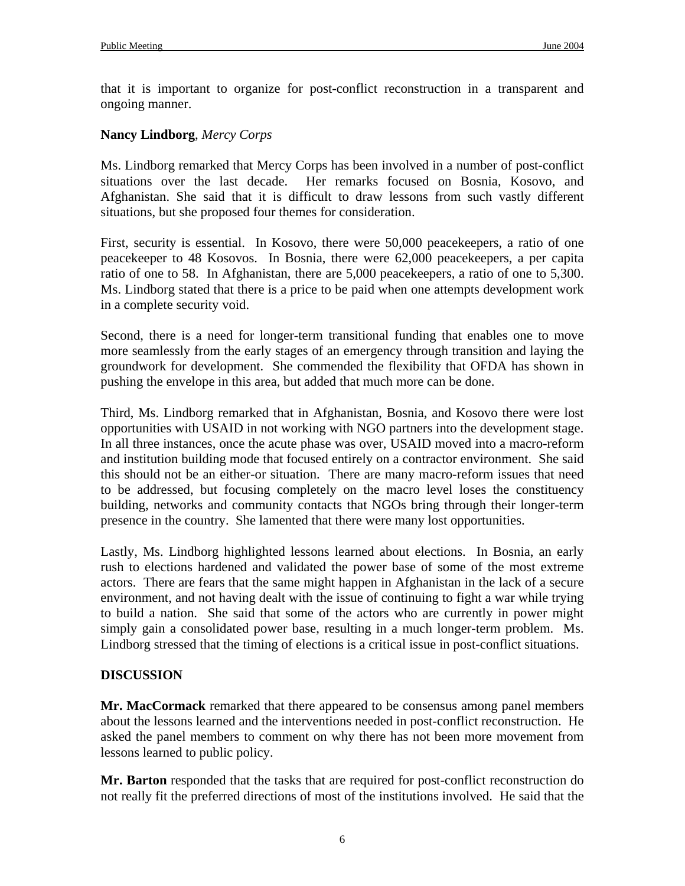that it is important to organize for post-conflict reconstruction in a transparent and ongoing manner.

### **Nancy Lindborg**, *Mercy Corps*

Ms. Lindborg remarked that Mercy Corps has been involved in a number of post-conflict situations over the last decade. Her remarks focused on Bosnia, Kosovo, and Afghanistan. She said that it is difficult to draw lessons from such vastly different situations, but she proposed four themes for consideration.

First, security is essential. In Kosovo, there were 50,000 peacekeepers, a ratio of one peacekeeper to 48 Kosovos. In Bosnia, there were 62,000 peacekeepers, a per capita ratio of one to 58. In Afghanistan, there are 5,000 peacekeepers, a ratio of one to 5,300. Ms. Lindborg stated that there is a price to be paid when one attempts development work in a complete security void.

Second, there is a need for longer-term transitional funding that enables one to move more seamlessly from the early stages of an emergency through transition and laying the groundwork for development. She commended the flexibility that OFDA has shown in pushing the envelope in this area, but added that much more can be done.

Third, Ms. Lindborg remarked that in Afghanistan, Bosnia, and Kosovo there were lost opportunities with USAID in not working with NGO partners into the development stage. In all three instances, once the acute phase was over, USAID moved into a macro-reform and institution building mode that focused entirely on a contractor environment. She said this should not be an either-or situation. There are many macro-reform issues that need to be addressed, but focusing completely on the macro level loses the constituency building, networks and community contacts that NGOs bring through their longer-term presence in the country. She lamented that there were many lost opportunities.

Lastly, Ms. Lindborg highlighted lessons learned about elections. In Bosnia, an early rush to elections hardened and validated the power base of some of the most extreme actors. There are fears that the same might happen in Afghanistan in the lack of a secure environment, and not having dealt with the issue of continuing to fight a war while trying to build a nation. She said that some of the actors who are currently in power might simply gain a consolidated power base, resulting in a much longer-term problem. Ms. Lindborg stressed that the timing of elections is a critical issue in post-conflict situations.

## **DISCUSSION**

**Mr. MacCormack** remarked that there appeared to be consensus among panel members about the lessons learned and the interventions needed in post-conflict reconstruction. He asked the panel members to comment on why there has not been more movement from lessons learned to public policy.

**Mr. Barton** responded that the tasks that are required for post-conflict reconstruction do not really fit the preferred directions of most of the institutions involved. He said that the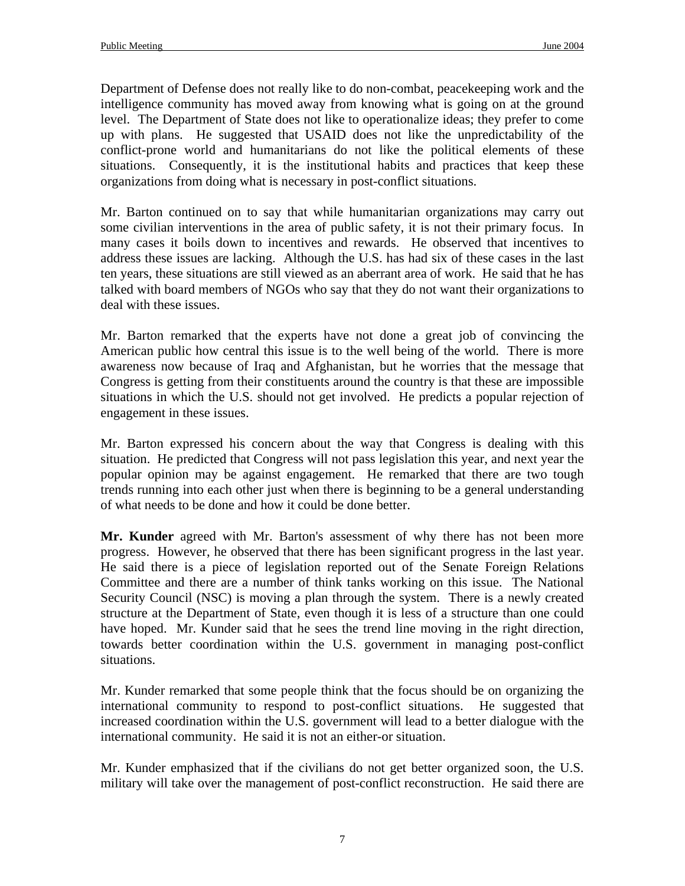Department of Defense does not really like to do non-combat, peacekeeping work and the intelligence community has moved away from knowing what is going on at the ground level. The Department of State does not like to operationalize ideas; they prefer to come up with plans. He suggested that USAID does not like the unpredictability of the conflict-prone world and humanitarians do not like the political elements of these situations. Consequently, it is the institutional habits and practices that keep these organizations from doing what is necessary in post-conflict situations.

Mr. Barton continued on to say that while humanitarian organizations may carry out some civilian interventions in the area of public safety, it is not their primary focus. In many cases it boils down to incentives and rewards. He observed that incentives to address these issues are lacking. Although the U.S. has had six of these cases in the last ten years, these situations are still viewed as an aberrant area of work. He said that he has talked with board members of NGOs who say that they do not want their organizations to deal with these issues.

Mr. Barton remarked that the experts have not done a great job of convincing the American public how central this issue is to the well being of the world. There is more awareness now because of Iraq and Afghanistan, but he worries that the message that Congress is getting from their constituents around the country is that these are impossible situations in which the U.S. should not get involved. He predicts a popular rejection of engagement in these issues.

Mr. Barton expressed his concern about the way that Congress is dealing with this situation. He predicted that Congress will not pass legislation this year, and next year the popular opinion may be against engagement. He remarked that there are two tough trends running into each other just when there is beginning to be a general understanding of what needs to be done and how it could be done better.

**Mr. Kunder** agreed with Mr. Barton's assessment of why there has not been more progress. However, he observed that there has been significant progress in the last year. He said there is a piece of legislation reported out of the Senate Foreign Relations Committee and there are a number of think tanks working on this issue. The National Security Council (NSC) is moving a plan through the system. There is a newly created structure at the Department of State, even though it is less of a structure than one could have hoped. Mr. Kunder said that he sees the trend line moving in the right direction, towards better coordination within the U.S. government in managing post-conflict situations.

Mr. Kunder remarked that some people think that the focus should be on organizing the international community to respond to post-conflict situations. He suggested that increased coordination within the U.S. government will lead to a better dialogue with the international community. He said it is not an either-or situation.

Mr. Kunder emphasized that if the civilians do not get better organized soon, the U.S. military will take over the management of post-conflict reconstruction. He said there are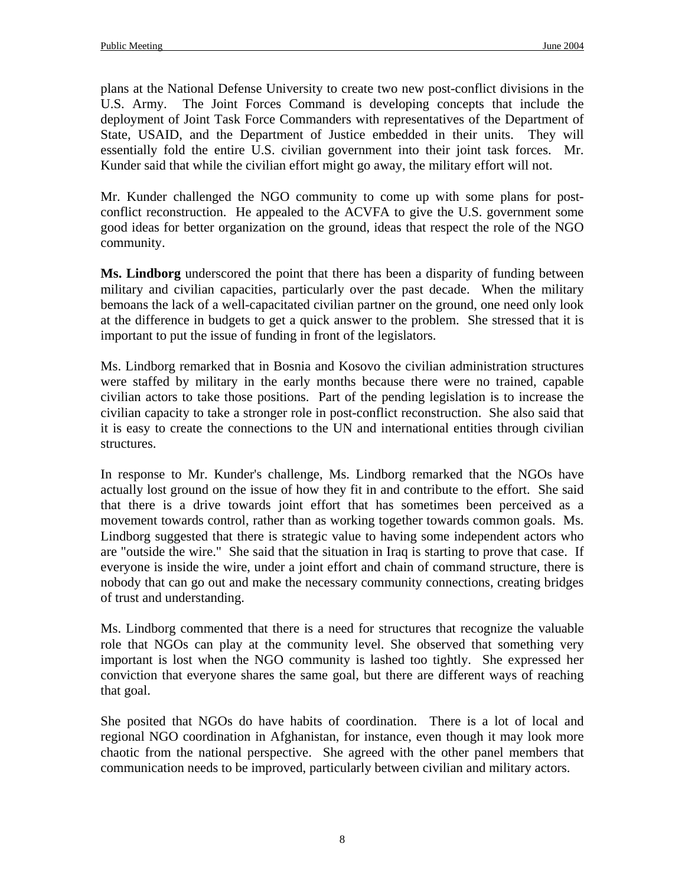plans at the National Defense University to create two new post-conflict divisions in the U.S. Army. The Joint Forces Command is developing concepts that include the deployment of Joint Task Force Commanders with representatives of the Department of State, USAID, and the Department of Justice embedded in their units. They will essentially fold the entire U.S. civilian government into their joint task forces. Mr. Kunder said that while the civilian effort might go away, the military effort will not.

Mr. Kunder challenged the NGO community to come up with some plans for postconflict reconstruction. He appealed to the ACVFA to give the U.S. government some good ideas for better organization on the ground, ideas that respect the role of the NGO community.

**Ms. Lindborg** underscored the point that there has been a disparity of funding between military and civilian capacities, particularly over the past decade. When the military bemoans the lack of a well-capacitated civilian partner on the ground, one need only look at the difference in budgets to get a quick answer to the problem. She stressed that it is important to put the issue of funding in front of the legislators.

Ms. Lindborg remarked that in Bosnia and Kosovo the civilian administration structures were staffed by military in the early months because there were no trained, capable civilian actors to take those positions. Part of the pending legislation is to increase the civilian capacity to take a stronger role in post-conflict reconstruction. She also said that it is easy to create the connections to the UN and international entities through civilian structures.

In response to Mr. Kunder's challenge, Ms. Lindborg remarked that the NGOs have actually lost ground on the issue of how they fit in and contribute to the effort. She said that there is a drive towards joint effort that has sometimes been perceived as a movement towards control, rather than as working together towards common goals. Ms. Lindborg suggested that there is strategic value to having some independent actors who are "outside the wire." She said that the situation in Iraq is starting to prove that case. If everyone is inside the wire, under a joint effort and chain of command structure, there is nobody that can go out and make the necessary community connections, creating bridges of trust and understanding.

Ms. Lindborg commented that there is a need for structures that recognize the valuable role that NGOs can play at the community level. She observed that something very important is lost when the NGO community is lashed too tightly. She expressed her conviction that everyone shares the same goal, but there are different ways of reaching that goal.

She posited that NGOs do have habits of coordination. There is a lot of local and regional NGO coordination in Afghanistan, for instance, even though it may look more chaotic from the national perspective. She agreed with the other panel members that communication needs to be improved, particularly between civilian and military actors.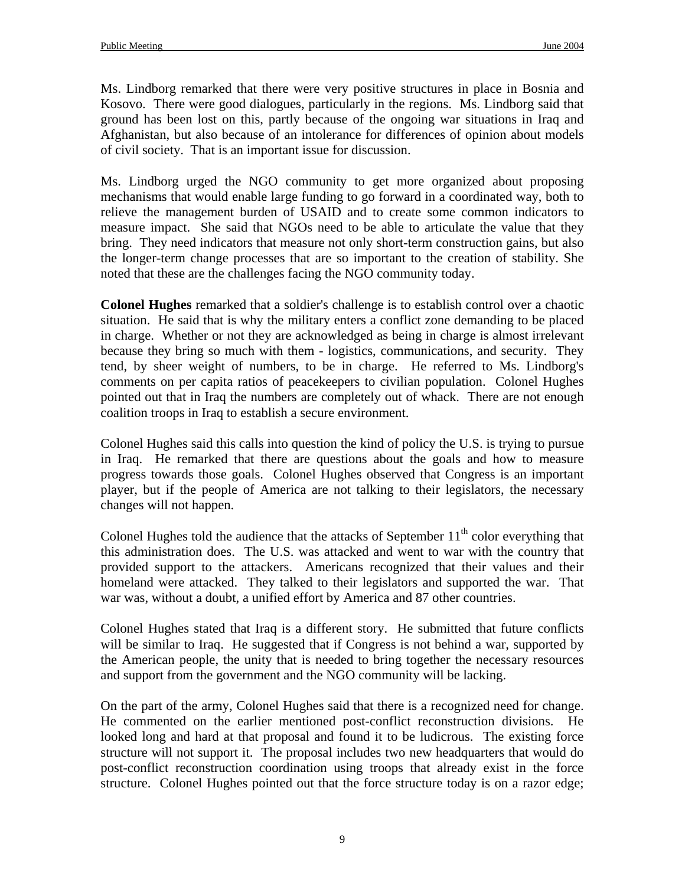Ms. Lindborg remarked that there were very positive structures in place in Bosnia and Kosovo. There were good dialogues, particularly in the regions. Ms. Lindborg said that ground has been lost on this, partly because of the ongoing war situations in Iraq and Afghanistan, but also because of an intolerance for differences of opinion about models of civil society. That is an important issue for discussion.

Ms. Lindborg urged the NGO community to get more organized about proposing mechanisms that would enable large funding to go forward in a coordinated way, both to relieve the management burden of USAID and to create some common indicators to measure impact. She said that NGOs need to be able to articulate the value that they bring. They need indicators that measure not only short-term construction gains, but also the longer-term change processes that are so important to the creation of stability. She noted that these are the challenges facing the NGO community today.

**Colonel Hughes** remarked that a soldier's challenge is to establish control over a chaotic situation. He said that is why the military enters a conflict zone demanding to be placed in charge. Whether or not they are acknowledged as being in charge is almost irrelevant because they bring so much with them - logistics, communications, and security. They tend, by sheer weight of numbers, to be in charge. He referred to Ms. Lindborg's comments on per capita ratios of peacekeepers to civilian population. Colonel Hughes pointed out that in Iraq the numbers are completely out of whack. There are not enough coalition troops in Iraq to establish a secure environment.

Colonel Hughes said this calls into question the kind of policy the U.S. is trying to pursue in Iraq. He remarked that there are questions about the goals and how to measure progress towards those goals. Colonel Hughes observed that Congress is an important player, but if the people of America are not talking to their legislators, the necessary changes will not happen.

Colonel Hughes told the audience that the attacks of September  $11<sup>th</sup>$  color everything that this administration does. The U.S. was attacked and went to war with the country that provided support to the attackers. Americans recognized that their values and their homeland were attacked. They talked to their legislators and supported the war. That war was, without a doubt, a unified effort by America and 87 other countries.

Colonel Hughes stated that Iraq is a different story. He submitted that future conflicts will be similar to Iraq. He suggested that if Congress is not behind a war, supported by the American people, the unity that is needed to bring together the necessary resources and support from the government and the NGO community will be lacking.

On the part of the army, Colonel Hughes said that there is a recognized need for change. He commented on the earlier mentioned post-conflict reconstruction divisions. He looked long and hard at that proposal and found it to be ludicrous. The existing force structure will not support it. The proposal includes two new headquarters that would do post-conflict reconstruction coordination using troops that already exist in the force structure. Colonel Hughes pointed out that the force structure today is on a razor edge;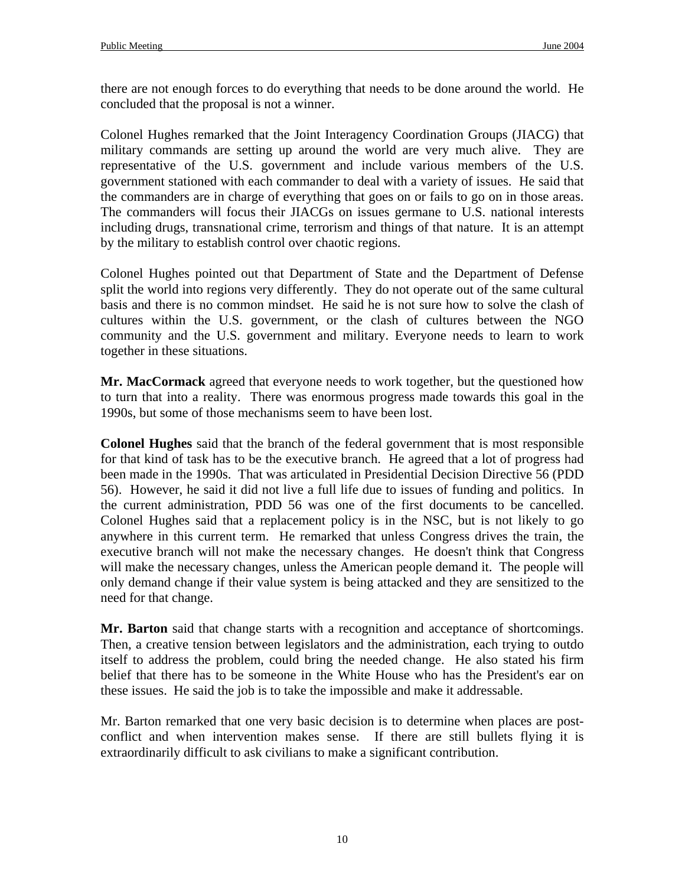there are not enough forces to do everything that needs to be done around the world. He concluded that the proposal is not a winner.

Colonel Hughes remarked that the Joint Interagency Coordination Groups (JIACG) that military commands are setting up around the world are very much alive. They are representative of the U.S. government and include various members of the U.S. government stationed with each commander to deal with a variety of issues. He said that the commanders are in charge of everything that goes on or fails to go on in those areas. The commanders will focus their JIACGs on issues germane to U.S. national interests including drugs, transnational crime, terrorism and things of that nature. It is an attempt by the military to establish control over chaotic regions.

Colonel Hughes pointed out that Department of State and the Department of Defense split the world into regions very differently. They do not operate out of the same cultural basis and there is no common mindset. He said he is not sure how to solve the clash of cultures within the U.S. government, or the clash of cultures between the NGO community and the U.S. government and military. Everyone needs to learn to work together in these situations.

**Mr. MacCormack** agreed that everyone needs to work together, but the questioned how to turn that into a reality. There was enormous progress made towards this goal in the 1990s, but some of those mechanisms seem to have been lost.

**Colonel Hughes** said that the branch of the federal government that is most responsible for that kind of task has to be the executive branch. He agreed that a lot of progress had been made in the 1990s. That was articulated in Presidential Decision Directive 56 (PDD 56). However, he said it did not live a full life due to issues of funding and politics. In the current administration, PDD 56 was one of the first documents to be cancelled. Colonel Hughes said that a replacement policy is in the NSC, but is not likely to go anywhere in this current term. He remarked that unless Congress drives the train, the executive branch will not make the necessary changes. He doesn't think that Congress will make the necessary changes, unless the American people demand it. The people will only demand change if their value system is being attacked and they are sensitized to the need for that change.

**Mr. Barton** said that change starts with a recognition and acceptance of shortcomings. Then, a creative tension between legislators and the administration, each trying to outdo itself to address the problem, could bring the needed change. He also stated his firm belief that there has to be someone in the White House who has the President's ear on these issues. He said the job is to take the impossible and make it addressable.

Mr. Barton remarked that one very basic decision is to determine when places are postconflict and when intervention makes sense. If there are still bullets flying it is extraordinarily difficult to ask civilians to make a significant contribution.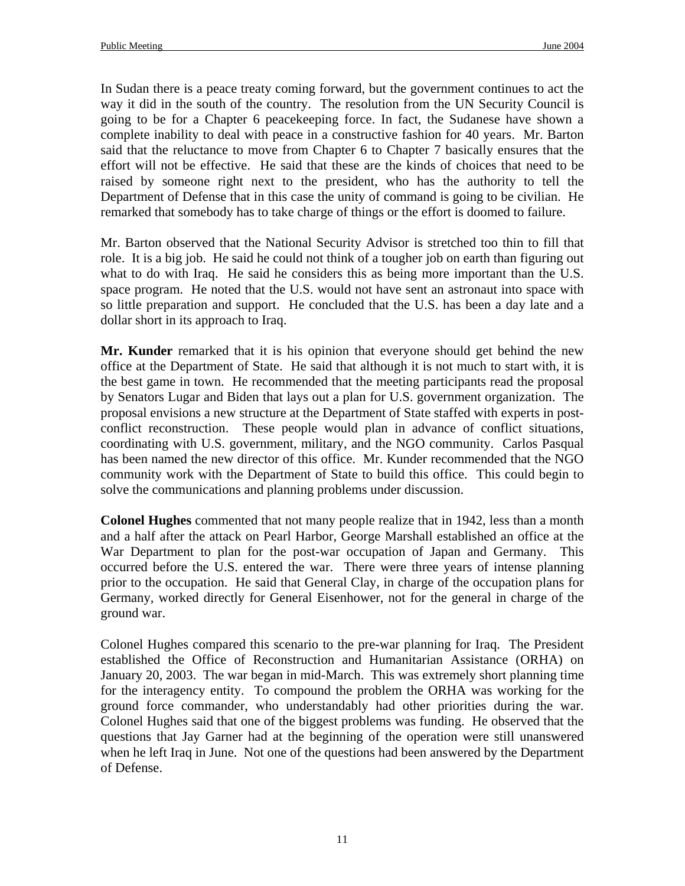In Sudan there is a peace treaty coming forward, but the government continues to act the way it did in the south of the country. The resolution from the UN Security Council is going to be for a Chapter 6 peacekeeping force. In fact, the Sudanese have shown a complete inability to deal with peace in a constructive fashion for 40 years. Mr. Barton said that the reluctance to move from Chapter 6 to Chapter 7 basically ensures that the effort will not be effective. He said that these are the kinds of choices that need to be raised by someone right next to the president, who has the authority to tell the Department of Defense that in this case the unity of command is going to be civilian. He remarked that somebody has to take charge of things or the effort is doomed to failure.

Mr. Barton observed that the National Security Advisor is stretched too thin to fill that role. It is a big job. He said he could not think of a tougher job on earth than figuring out what to do with Iraq. He said he considers this as being more important than the U.S. space program. He noted that the U.S. would not have sent an astronaut into space with so little preparation and support. He concluded that the U.S. has been a day late and a dollar short in its approach to Iraq.

**Mr. Kunder** remarked that it is his opinion that everyone should get behind the new office at the Department of State. He said that although it is not much to start with, it is the best game in town. He recommended that the meeting participants read the proposal by Senators Lugar and Biden that lays out a plan for U.S. government organization. The proposal envisions a new structure at the Department of State staffed with experts in postconflict reconstruction. These people would plan in advance of conflict situations, coordinating with U.S. government, military, and the NGO community. Carlos Pasqual has been named the new director of this office. Mr. Kunder recommended that the NGO community work with the Department of State to build this office. This could begin to solve the communications and planning problems under discussion.

**Colonel Hughes** commented that not many people realize that in 1942, less than a month and a half after the attack on Pearl Harbor, George Marshall established an office at the War Department to plan for the post-war occupation of Japan and Germany. This occurred before the U.S. entered the war. There were three years of intense planning prior to the occupation. He said that General Clay, in charge of the occupation plans for Germany, worked directly for General Eisenhower, not for the general in charge of the ground war.

Colonel Hughes compared this scenario to the pre-war planning for Iraq. The President established the Office of Reconstruction and Humanitarian Assistance (ORHA) on January 20, 2003. The war began in mid-March. This was extremely short planning time for the interagency entity. To compound the problem the ORHA was working for the ground force commander, who understandably had other priorities during the war. Colonel Hughes said that one of the biggest problems was funding. He observed that the questions that Jay Garner had at the beginning of the operation were still unanswered when he left Iraq in June. Not one of the questions had been answered by the Department of Defense.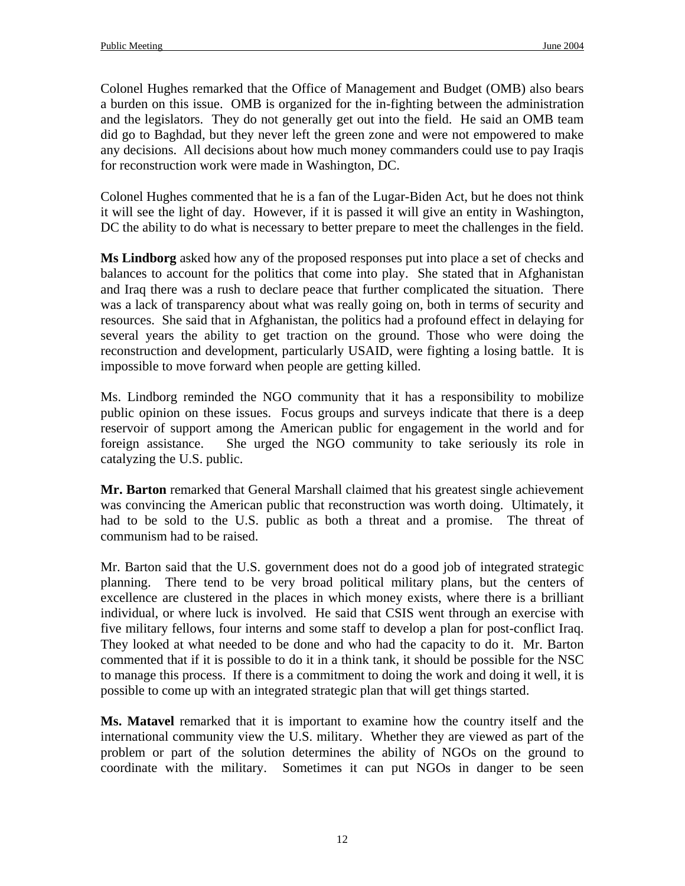Colonel Hughes remarked that the Office of Management and Budget (OMB) also bears a burden on this issue. OMB is organized for the in-fighting between the administration and the legislators. They do not generally get out into the field. He said an OMB team did go to Baghdad, but they never left the green zone and were not empowered to make any decisions. All decisions about how much money commanders could use to pay Iraqis for reconstruction work were made in Washington, DC.

Colonel Hughes commented that he is a fan of the Lugar-Biden Act, but he does not think it will see the light of day. However, if it is passed it will give an entity in Washington, DC the ability to do what is necessary to better prepare to meet the challenges in the field.

**Ms Lindborg** asked how any of the proposed responses put into place a set of checks and balances to account for the politics that come into play. She stated that in Afghanistan and Iraq there was a rush to declare peace that further complicated the situation. There was a lack of transparency about what was really going on, both in terms of security and resources. She said that in Afghanistan, the politics had a profound effect in delaying for several years the ability to get traction on the ground. Those who were doing the reconstruction and development, particularly USAID, were fighting a losing battle. It is impossible to move forward when people are getting killed.

Ms. Lindborg reminded the NGO community that it has a responsibility to mobilize public opinion on these issues. Focus groups and surveys indicate that there is a deep reservoir of support among the American public for engagement in the world and for foreign assistance. She urged the NGO community to take seriously its role in catalyzing the U.S. public.

**Mr. Barton** remarked that General Marshall claimed that his greatest single achievement was convincing the American public that reconstruction was worth doing. Ultimately, it had to be sold to the U.S. public as both a threat and a promise. The threat of communism had to be raised.

Mr. Barton said that the U.S. government does not do a good job of integrated strategic planning. There tend to be very broad political military plans, but the centers of excellence are clustered in the places in which money exists, where there is a brilliant individual, or where luck is involved. He said that CSIS went through an exercise with five military fellows, four interns and some staff to develop a plan for post-conflict Iraq. They looked at what needed to be done and who had the capacity to do it. Mr. Barton commented that if it is possible to do it in a think tank, it should be possible for the NSC to manage this process. If there is a commitment to doing the work and doing it well, it is possible to come up with an integrated strategic plan that will get things started.

**Ms. Matavel** remarked that it is important to examine how the country itself and the international community view the U.S. military. Whether they are viewed as part of the problem or part of the solution determines the ability of NGOs on the ground to coordinate with the military. Sometimes it can put NGOs in danger to be seen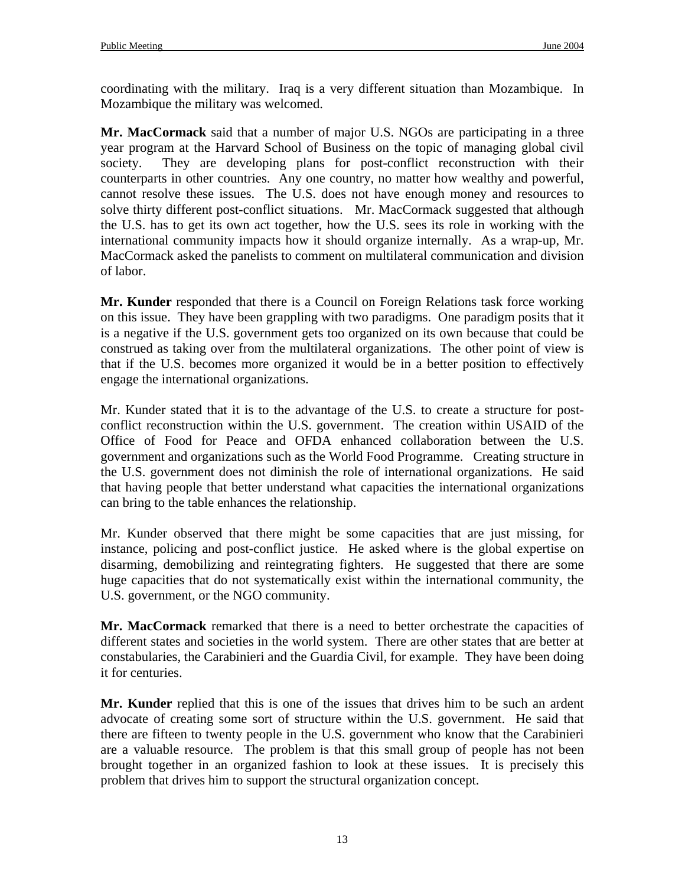coordinating with the military. Iraq is a very different situation than Mozambique. In Mozambique the military was welcomed.

**Mr. MacCormack** said that a number of major U.S. NGOs are participating in a three year program at the Harvard School of Business on the topic of managing global civil society. They are developing plans for post-conflict reconstruction with their counterparts in other countries. Any one country, no matter how wealthy and powerful, cannot resolve these issues. The U.S. does not have enough money and resources to solve thirty different post-conflict situations. Mr. MacCormack suggested that although the U.S. has to get its own act together, how the U.S. sees its role in working with the international community impacts how it should organize internally. As a wrap-up, Mr. MacCormack asked the panelists to comment on multilateral communication and division of labor.

**Mr. Kunder** responded that there is a Council on Foreign Relations task force working on this issue. They have been grappling with two paradigms. One paradigm posits that it is a negative if the U.S. government gets too organized on its own because that could be construed as taking over from the multilateral organizations. The other point of view is that if the U.S. becomes more organized it would be in a better position to effectively engage the international organizations.

Mr. Kunder stated that it is to the advantage of the U.S. to create a structure for postconflict reconstruction within the U.S. government. The creation within USAID of the Office of Food for Peace and OFDA enhanced collaboration between the U.S. government and organizations such as the World Food Programme. Creating structure in the U.S. government does not diminish the role of international organizations. He said that having people that better understand what capacities the international organizations can bring to the table enhances the relationship.

Mr. Kunder observed that there might be some capacities that are just missing, for instance, policing and post-conflict justice. He asked where is the global expertise on disarming, demobilizing and reintegrating fighters. He suggested that there are some huge capacities that do not systematically exist within the international community, the U.S. government, or the NGO community.

**Mr. MacCormack** remarked that there is a need to better orchestrate the capacities of different states and societies in the world system. There are other states that are better at constabularies, the Carabinieri and the Guardia Civil, for example. They have been doing it for centuries.

**Mr. Kunder** replied that this is one of the issues that drives him to be such an ardent advocate of creating some sort of structure within the U.S. government. He said that there are fifteen to twenty people in the U.S. government who know that the Carabinieri are a valuable resource. The problem is that this small group of people has not been brought together in an organized fashion to look at these issues. It is precisely this problem that drives him to support the structural organization concept.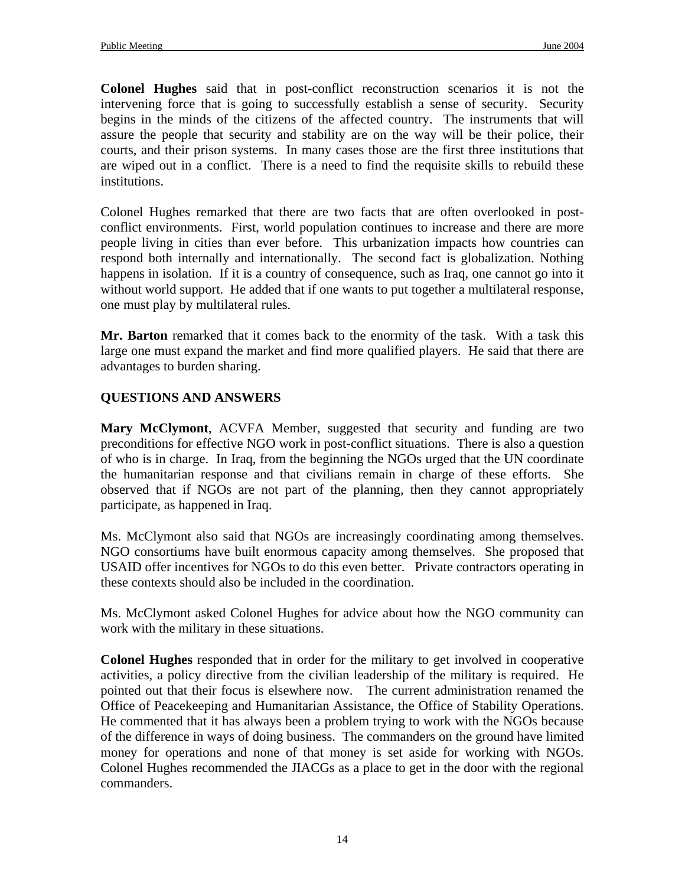**Colonel Hughes** said that in post-conflict reconstruction scenarios it is not the intervening force that is going to successfully establish a sense of security. Security begins in the minds of the citizens of the affected country. The instruments that will assure the people that security and stability are on the way will be their police, their courts, and their prison systems. In many cases those are the first three institutions that are wiped out in a conflict. There is a need to find the requisite skills to rebuild these institutions.

Colonel Hughes remarked that there are two facts that are often overlooked in postconflict environments. First, world population continues to increase and there are more people living in cities than ever before. This urbanization impacts how countries can respond both internally and internationally. The second fact is globalization. Nothing happens in isolation. If it is a country of consequence, such as Iraq, one cannot go into it without world support. He added that if one wants to put together a multilateral response, one must play by multilateral rules.

**Mr. Barton** remarked that it comes back to the enormity of the task. With a task this large one must expand the market and find more qualified players. He said that there are advantages to burden sharing.

# **QUESTIONS AND ANSWERS**

**Mary McClymont**, ACVFA Member, suggested that security and funding are two preconditions for effective NGO work in post-conflict situations. There is also a question of who is in charge. In Iraq, from the beginning the NGOs urged that the UN coordinate the humanitarian response and that civilians remain in charge of these efforts. She observed that if NGOs are not part of the planning, then they cannot appropriately participate, as happened in Iraq.

Ms. McClymont also said that NGOs are increasingly coordinating among themselves. NGO consortiums have built enormous capacity among themselves. She proposed that USAID offer incentives for NGOs to do this even better. Private contractors operating in these contexts should also be included in the coordination.

Ms. McClymont asked Colonel Hughes for advice about how the NGO community can work with the military in these situations.

**Colonel Hughes** responded that in order for the military to get involved in cooperative activities, a policy directive from the civilian leadership of the military is required. He pointed out that their focus is elsewhere now. The current administration renamed the Office of Peacekeeping and Humanitarian Assistance, the Office of Stability Operations. He commented that it has always been a problem trying to work with the NGOs because of the difference in ways of doing business. The commanders on the ground have limited money for operations and none of that money is set aside for working with NGOs. Colonel Hughes recommended the JIACGs as a place to get in the door with the regional commanders.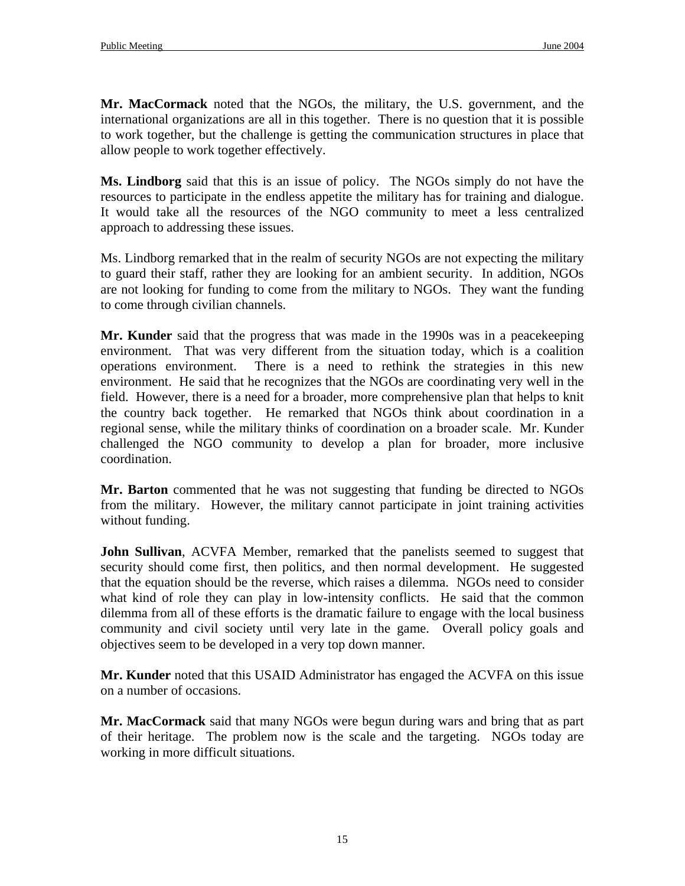**Mr. MacCormack** noted that the NGOs, the military, the U.S. government, and the international organizations are all in this together. There is no question that it is possible to work together, but the challenge is getting the communication structures in place that allow people to work together effectively.

**Ms. Lindborg** said that this is an issue of policy. The NGOs simply do not have the resources to participate in the endless appetite the military has for training and dialogue. It would take all the resources of the NGO community to meet a less centralized approach to addressing these issues.

Ms. Lindborg remarked that in the realm of security NGOs are not expecting the military to guard their staff, rather they are looking for an ambient security. In addition, NGOs are not looking for funding to come from the military to NGOs. They want the funding to come through civilian channels.

**Mr. Kunder** said that the progress that was made in the 1990s was in a peacekeeping environment. That was very different from the situation today, which is a coalition operations environment. There is a need to rethink the strategies in this new environment. He said that he recognizes that the NGOs are coordinating very well in the field. However, there is a need for a broader, more comprehensive plan that helps to knit the country back together. He remarked that NGOs think about coordination in a regional sense, while the military thinks of coordination on a broader scale. Mr. Kunder challenged the NGO community to develop a plan for broader, more inclusive coordination.

**Mr. Barton** commented that he was not suggesting that funding be directed to NGOs from the military. However, the military cannot participate in joint training activities without funding.

**John Sullivan**, ACVFA Member, remarked that the panelists seemed to suggest that security should come first, then politics, and then normal development. He suggested that the equation should be the reverse, which raises a dilemma. NGOs need to consider what kind of role they can play in low-intensity conflicts. He said that the common dilemma from all of these efforts is the dramatic failure to engage with the local business community and civil society until very late in the game. Overall policy goals and objectives seem to be developed in a very top down manner.

**Mr. Kunder** noted that this USAID Administrator has engaged the ACVFA on this issue on a number of occasions.

**Mr. MacCormack** said that many NGOs were begun during wars and bring that as part of their heritage. The problem now is the scale and the targeting. NGOs today are working in more difficult situations.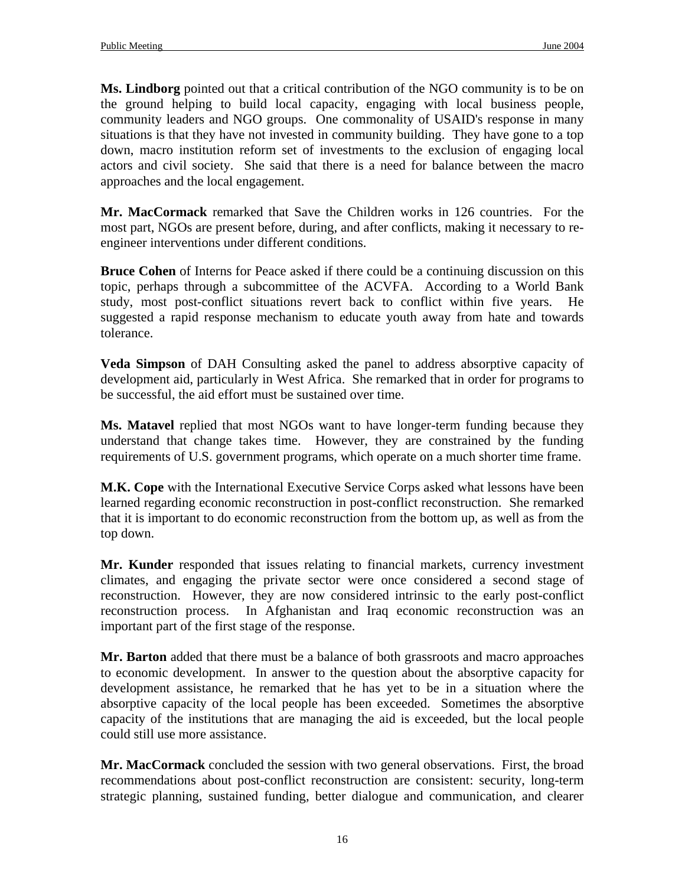**Ms. Lindborg** pointed out that a critical contribution of the NGO community is to be on the ground helping to build local capacity, engaging with local business people, community leaders and NGO groups. One commonality of USAID's response in many situations is that they have not invested in community building. They have gone to a top down, macro institution reform set of investments to the exclusion of engaging local actors and civil society. She said that there is a need for balance between the macro approaches and the local engagement.

**Mr. MacCormack** remarked that Save the Children works in 126 countries. For the most part, NGOs are present before, during, and after conflicts, making it necessary to reengineer interventions under different conditions.

**Bruce Cohen** of Interns for Peace asked if there could be a continuing discussion on this topic, perhaps through a subcommittee of the ACVFA. According to a World Bank study, most post-conflict situations revert back to conflict within five years. He suggested a rapid response mechanism to educate youth away from hate and towards tolerance.

**Veda Simpson** of DAH Consulting asked the panel to address absorptive capacity of development aid, particularly in West Africa. She remarked that in order for programs to be successful, the aid effort must be sustained over time.

**Ms. Matavel** replied that most NGOs want to have longer-term funding because they understand that change takes time. However, they are constrained by the funding requirements of U.S. government programs, which operate on a much shorter time frame.

**M.K. Cope** with the International Executive Service Corps asked what lessons have been learned regarding economic reconstruction in post-conflict reconstruction. She remarked that it is important to do economic reconstruction from the bottom up, as well as from the top down.

**Mr. Kunder** responded that issues relating to financial markets, currency investment climates, and engaging the private sector were once considered a second stage of reconstruction. However, they are now considered intrinsic to the early post-conflict reconstruction process. In Afghanistan and Iraq economic reconstruction was an important part of the first stage of the response.

**Mr. Barton** added that there must be a balance of both grassroots and macro approaches to economic development. In answer to the question about the absorptive capacity for development assistance, he remarked that he has yet to be in a situation where the absorptive capacity of the local people has been exceeded. Sometimes the absorptive capacity of the institutions that are managing the aid is exceeded, but the local people could still use more assistance.

**Mr. MacCormack** concluded the session with two general observations. First, the broad recommendations about post-conflict reconstruction are consistent: security, long-term strategic planning, sustained funding, better dialogue and communication, and clearer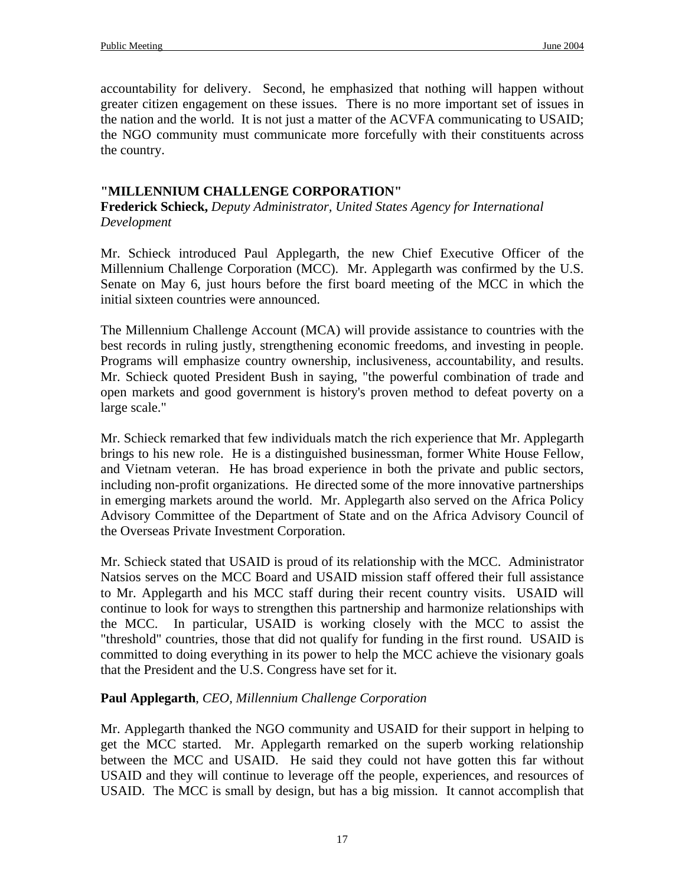accountability for delivery. Second, he emphasized that nothing will happen without greater citizen engagement on these issues. There is no more important set of issues in the nation and the world. It is not just a matter of the ACVFA communicating to USAID; the NGO community must communicate more forcefully with their constituents across the country.

### **"MILLENNIUM CHALLENGE CORPORATION"**

**Frederick Schieck,** *Deputy Administrator, United States Agency for International Development* 

Mr. Schieck introduced Paul Applegarth, the new Chief Executive Officer of the Millennium Challenge Corporation (MCC). Mr. Applegarth was confirmed by the U.S. Senate on May 6, just hours before the first board meeting of the MCC in which the initial sixteen countries were announced.

The Millennium Challenge Account (MCA) will provide assistance to countries with the best records in ruling justly, strengthening economic freedoms, and investing in people. Programs will emphasize country ownership, inclusiveness, accountability, and results. Mr. Schieck quoted President Bush in saying, "the powerful combination of trade and open markets and good government is history's proven method to defeat poverty on a large scale."

Mr. Schieck remarked that few individuals match the rich experience that Mr. Applegarth brings to his new role. He is a distinguished businessman, former White House Fellow, and Vietnam veteran. He has broad experience in both the private and public sectors, including non-profit organizations. He directed some of the more innovative partnerships in emerging markets around the world. Mr. Applegarth also served on the Africa Policy Advisory Committee of the Department of State and on the Africa Advisory Council of the Overseas Private Investment Corporation.

Mr. Schieck stated that USAID is proud of its relationship with the MCC. Administrator Natsios serves on the MCC Board and USAID mission staff offered their full assistance to Mr. Applegarth and his MCC staff during their recent country visits. USAID will continue to look for ways to strengthen this partnership and harmonize relationships with the MCC. In particular, USAID is working closely with the MCC to assist the "threshold" countries, those that did not qualify for funding in the first round. USAID is committed to doing everything in its power to help the MCC achieve the visionary goals that the President and the U.S. Congress have set for it.

## **Paul Applegarth**, *CEO, Millennium Challenge Corporation*

Mr. Applegarth thanked the NGO community and USAID for their support in helping to get the MCC started. Mr. Applegarth remarked on the superb working relationship between the MCC and USAID. He said they could not have gotten this far without USAID and they will continue to leverage off the people, experiences, and resources of USAID. The MCC is small by design, but has a big mission. It cannot accomplish that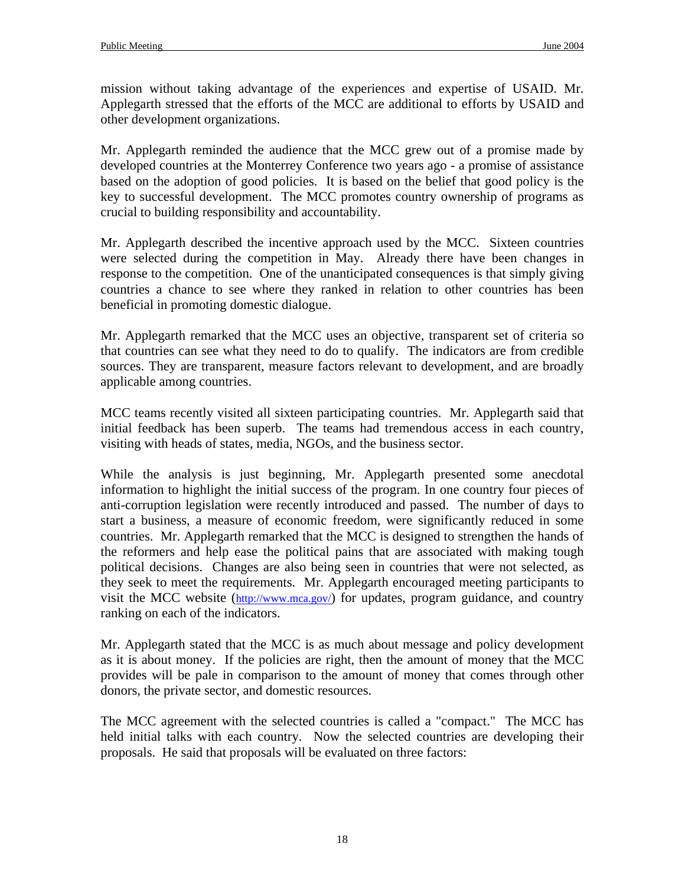mission without taking advantage of the experiences and expertise of USAID. Mr. Applegarth stressed that the efforts of the MCC are additional to efforts by USAID and other development organizations.

Mr. Applegarth reminded the audience that the MCC grew out of a promise made by developed countries at the Monterrey Conference two years ago - a promise of assistance based on the adoption of good policies. It is based on the belief that good policy is the key to successful development. The MCC promotes country ownership of programs as crucial to building responsibility and accountability.

Mr. Applegarth described the incentive approach used by the MCC. Sixteen countries were selected during the competition in May. Already there have been changes in response to the competition. One of the unanticipated consequences is that simply giving countries a chance to see where they ranked in relation to other countries has been beneficial in promoting domestic dialogue.

Mr. Applegarth remarked that the MCC uses an objective, transparent set of criteria so that countries can see what they need to do to qualify. The indicators are from credible sources. They are transparent, measure factors relevant to development, and are broadly applicable among countries.

MCC teams recently visited all sixteen participating countries. Mr. Applegarth said that initial feedback has been superb. The teams had tremendous access in each country, visiting with heads of states, media, NGOs, and the business sector.

While the analysis is just beginning, Mr. Applegarth presented some anecdotal information to highlight the initial success of the program. In one country four pieces of anti-corruption legislation were recently introduced and passed. The number of days to start a business, a measure of economic freedom, were significantly reduced in some countries. Mr. Applegarth remarked that the MCC is designed to strengthen the hands of the reformers and help ease the political pains that are associated with making tough political decisions. Changes are also being seen in countries that were not selected, as they seek to meet the requirements. Mr. Applegarth encouraged meeting participants to visit the MCC website (http://www.mca.gov/) for updates, program guidance, and country ranking on each of the indicators.

Mr. Applegarth stated that the MCC is as much about message and policy development as it is about money. If the policies are right, then the amount of money that the MCC provides will be pale in comparison to the amount of money that comes through other donors, the private sector, and domestic resources.

The MCC agreement with the selected countries is called a "compact." The MCC has held initial talks with each country. Now the selected countries are developing their proposals. He said that proposals will be evaluated on three factors: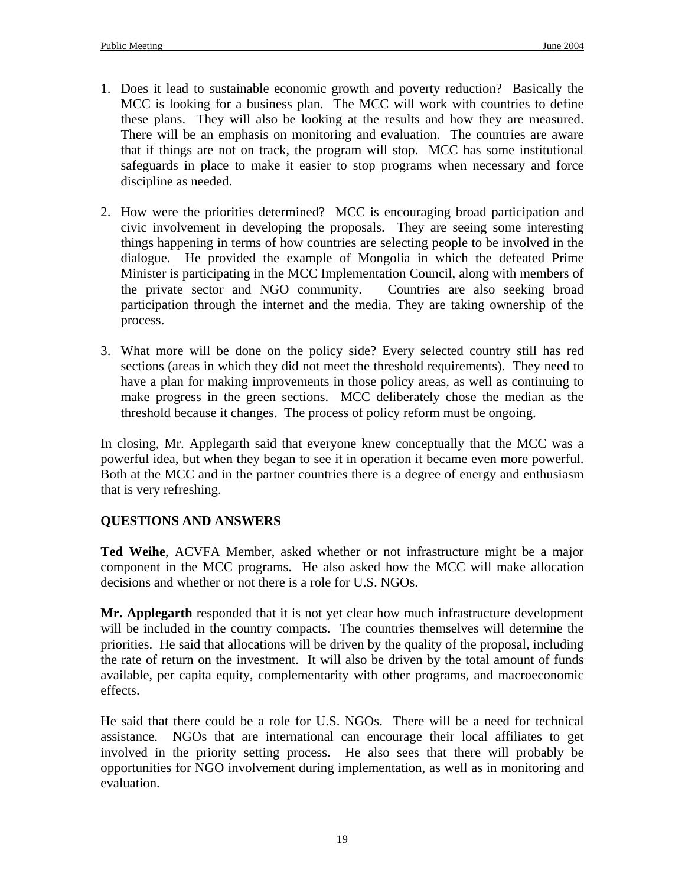- 1. Does it lead to sustainable economic growth and poverty reduction? Basically the MCC is looking for a business plan. The MCC will work with countries to define these plans. They will also be looking at the results and how they are measured. There will be an emphasis on monitoring and evaluation. The countries are aware that if things are not on track, the program will stop. MCC has some institutional safeguards in place to make it easier to stop programs when necessary and force discipline as needed.
- 2. How were the priorities determined? MCC is encouraging broad participation and civic involvement in developing the proposals. They are seeing some interesting things happening in terms of how countries are selecting people to be involved in the dialogue. He provided the example of Mongolia in which the defeated Prime Minister is participating in the MCC Implementation Council, along with members of the private sector and NGO community. Countries are also seeking broad participation through the internet and the media. They are taking ownership of the process.
- 3. What more will be done on the policy side? Every selected country still has red sections (areas in which they did not meet the threshold requirements). They need to have a plan for making improvements in those policy areas, as well as continuing to make progress in the green sections. MCC deliberately chose the median as the threshold because it changes. The process of policy reform must be ongoing.

In closing, Mr. Applegarth said that everyone knew conceptually that the MCC was a powerful idea, but when they began to see it in operation it became even more powerful. Both at the MCC and in the partner countries there is a degree of energy and enthusiasm that is very refreshing.

## **QUESTIONS AND ANSWERS**

**Ted Weihe**, ACVFA Member, asked whether or not infrastructure might be a major component in the MCC programs. He also asked how the MCC will make allocation decisions and whether or not there is a role for U.S. NGOs.

**Mr. Applegarth** responded that it is not yet clear how much infrastructure development will be included in the country compacts. The countries themselves will determine the priorities. He said that allocations will be driven by the quality of the proposal, including the rate of return on the investment. It will also be driven by the total amount of funds available, per capita equity, complementarity with other programs, and macroeconomic effects.

He said that there could be a role for U.S. NGOs. There will be a need for technical assistance. NGOs that are international can encourage their local affiliates to get involved in the priority setting process. He also sees that there will probably be opportunities for NGO involvement during implementation, as well as in monitoring and evaluation.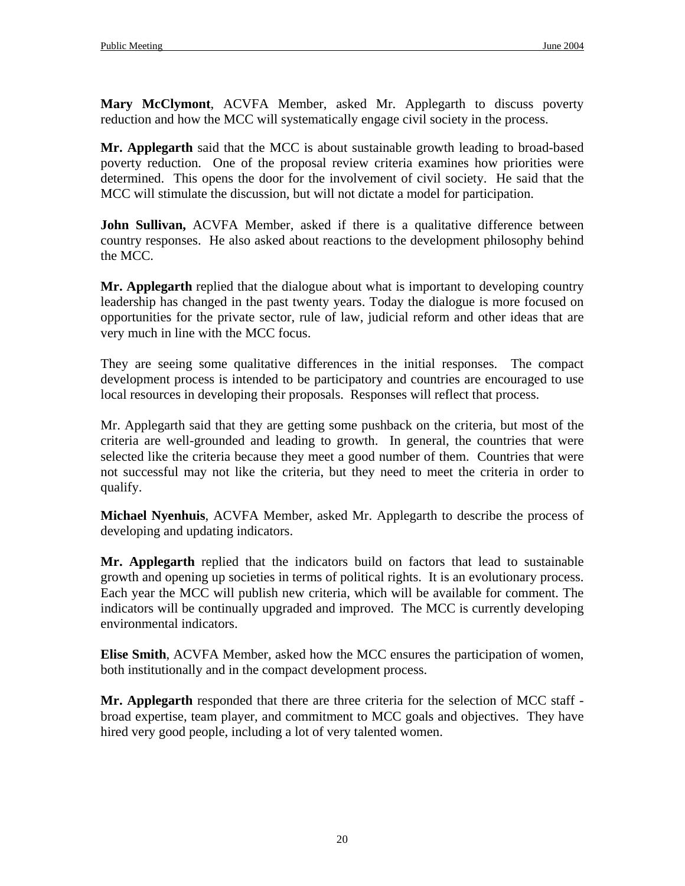**Mary McClymont**, ACVFA Member, asked Mr. Applegarth to discuss poverty reduction and how the MCC will systematically engage civil society in the process.

**Mr. Applegarth** said that the MCC is about sustainable growth leading to broad-based poverty reduction. One of the proposal review criteria examines how priorities were determined. This opens the door for the involvement of civil society. He said that the MCC will stimulate the discussion, but will not dictate a model for participation.

**John Sullivan,** ACVFA Member, asked if there is a qualitative difference between country responses. He also asked about reactions to the development philosophy behind the MCC.

**Mr. Applegarth** replied that the dialogue about what is important to developing country leadership has changed in the past twenty years. Today the dialogue is more focused on opportunities for the private sector, rule of law, judicial reform and other ideas that are very much in line with the MCC focus.

They are seeing some qualitative differences in the initial responses. The compact development process is intended to be participatory and countries are encouraged to use local resources in developing their proposals. Responses will reflect that process.

Mr. Applegarth said that they are getting some pushback on the criteria, but most of the criteria are well-grounded and leading to growth. In general, the countries that were selected like the criteria because they meet a good number of them. Countries that were not successful may not like the criteria, but they need to meet the criteria in order to qualify.

**Michael Nyenhuis**, ACVFA Member, asked Mr. Applegarth to describe the process of developing and updating indicators.

**Mr. Applegarth** replied that the indicators build on factors that lead to sustainable growth and opening up societies in terms of political rights. It is an evolutionary process. Each year the MCC will publish new criteria, which will be available for comment. The indicators will be continually upgraded and improved. The MCC is currently developing environmental indicators.

**Elise Smith**, ACVFA Member, asked how the MCC ensures the participation of women, both institutionally and in the compact development process.

**Mr. Applegarth** responded that there are three criteria for the selection of MCC staff broad expertise, team player, and commitment to MCC goals and objectives. They have hired very good people, including a lot of very talented women.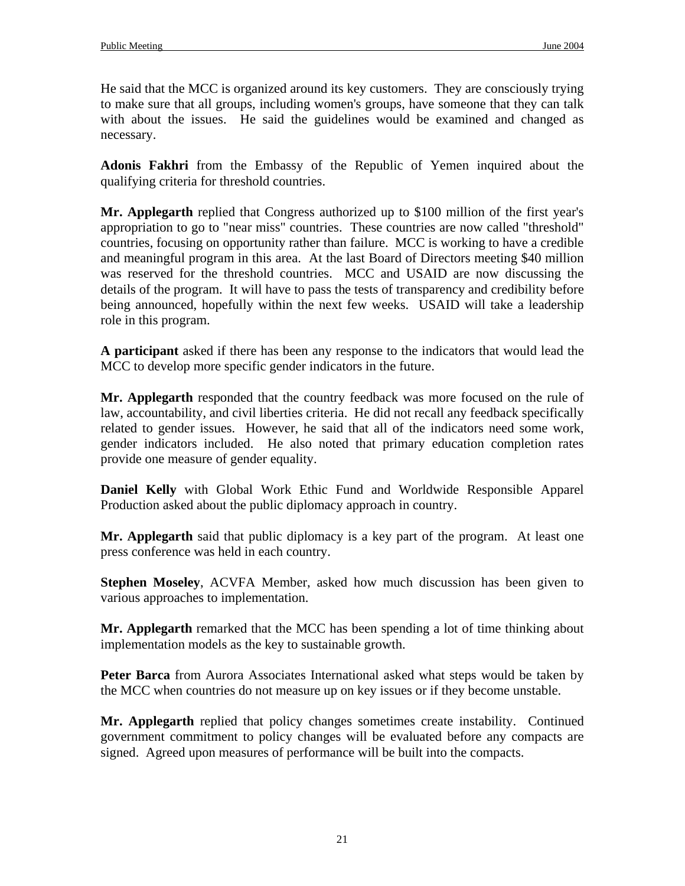He said that the MCC is organized around its key customers. They are consciously trying to make sure that all groups, including women's groups, have someone that they can talk with about the issues. He said the guidelines would be examined and changed as necessary.

**Adonis Fakhri** from the Embassy of the Republic of Yemen inquired about the qualifying criteria for threshold countries.

**Mr. Applegarth** replied that Congress authorized up to \$100 million of the first year's appropriation to go to "near miss" countries. These countries are now called "threshold" countries, focusing on opportunity rather than failure. MCC is working to have a credible and meaningful program in this area. At the last Board of Directors meeting \$40 million was reserved for the threshold countries. MCC and USAID are now discussing the details of the program. It will have to pass the tests of transparency and credibility before being announced, hopefully within the next few weeks. USAID will take a leadership role in this program.

**A participant** asked if there has been any response to the indicators that would lead the MCC to develop more specific gender indicators in the future.

**Mr. Applegarth** responded that the country feedback was more focused on the rule of law, accountability, and civil liberties criteria. He did not recall any feedback specifically related to gender issues. However, he said that all of the indicators need some work, gender indicators included. He also noted that primary education completion rates provide one measure of gender equality.

**Daniel Kelly** with Global Work Ethic Fund and Worldwide Responsible Apparel Production asked about the public diplomacy approach in country.

**Mr. Applegarth** said that public diplomacy is a key part of the program. At least one press conference was held in each country.

**Stephen Moseley**, ACVFA Member, asked how much discussion has been given to various approaches to implementation.

**Mr. Applegarth** remarked that the MCC has been spending a lot of time thinking about implementation models as the key to sustainable growth.

**Peter Barca** from Aurora Associates International asked what steps would be taken by the MCC when countries do not measure up on key issues or if they become unstable.

**Mr. Applegarth** replied that policy changes sometimes create instability. Continued government commitment to policy changes will be evaluated before any compacts are signed. Agreed upon measures of performance will be built into the compacts.